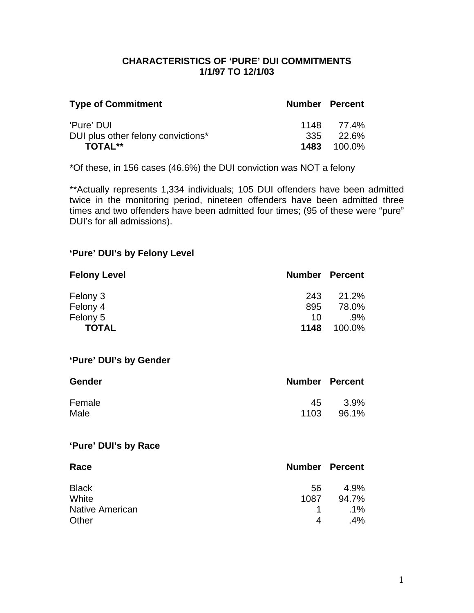### **CHARACTERISTICS OF 'PURE' DUI COMMITMENTS 1/1/97 TO 12/1/03**

| <b>Type of Commitment</b>          | <b>Number Percent</b> |                    |
|------------------------------------|-----------------------|--------------------|
| 'Pure' DUI                         |                       | 1148 77.4%         |
| DUI plus other felony convictions* |                       | $335$ $22.6\%$     |
| <b>TOTAL**</b>                     |                       | <b>1483</b> 100.0% |

\*Of these, in 156 cases (46.6%) the DUI conviction was NOT a felony

\*\*Actually represents 1,334 individuals; 105 DUI offenders have been admitted twice in the monitoring period, nineteen offenders have been admitted three times and two offenders have been admitted four times; (95 of these were "pure" DUI's for all admissions).

### **'Pure' DUI's by Felony Level**

| <b>Felony Level</b> | <b>Number Percent</b> |        |
|---------------------|-----------------------|--------|
| Felony 3            | 243                   | 21.2%  |
| Felony 4            | 895                   | 78.0%  |
| Felony 5            | 10                    | $.9\%$ |
| <b>TOTAL</b>        | 1148                  | 100.0% |

#### **'Pure' DUI's by Gender**

| <b>Gender</b> | <b>Number Percent</b> |       |
|---------------|-----------------------|-------|
| Female        | 45                    | 3.9%  |
| Male          | 1103                  | 96.1% |

### **'Pure' DUI's by Race**

| Race                   | <b>Number Percent</b> |        |
|------------------------|-----------------------|--------|
| <b>Black</b>           | 56                    | 4.9%   |
| White                  | 1087                  | 94.7%  |
| <b>Native American</b> | $\mathbf{1}$          | $.1\%$ |
| Other                  | 4                     | .4%    |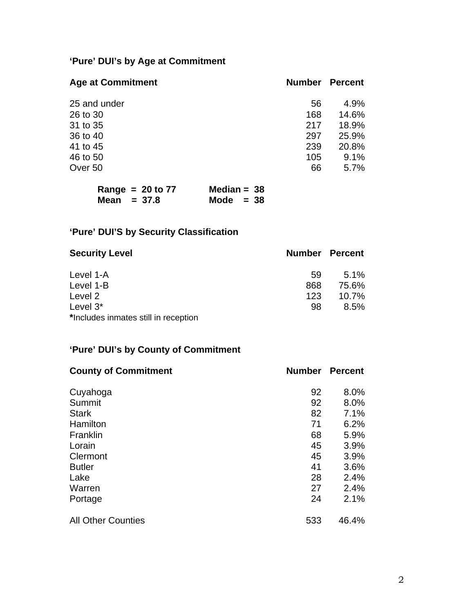# **'Pure' DUI's by Age at Commitment**

| <b>Age at Commitment</b> | <b>Number</b> | <b>Percent</b> |
|--------------------------|---------------|----------------|
| 25 and under             | 56            | 4.9%           |
| 26 to 30                 | 168           | 14.6%          |
| 31 to 35                 | 217           | 18.9%          |
| 36 to 40                 | 297           | 25.9%          |
| 41 to 45                 | 239           | 20.8%          |
| 46 to 50                 | 105           | 9.1%           |
| Over 50                  | 66            | 5.7%           |

| Range = $20$ to 77 | Median = $38$ |
|--------------------|---------------|
| Mean $= 37.8$      | Mode $= 38$   |

# **'Pure' DUI'S by Security Classification**

| <b>Security Level</b>                |     | <b>Number Percent</b> |
|--------------------------------------|-----|-----------------------|
| Level 1-A                            | 59  | $5.1\%$               |
| Level 1-B                            | 868 | 75.6%                 |
| Level 2                              | 123 | $10.7\%$              |
| Level $3^*$                          | 98  | $8.5\%$               |
| *Includes inmates still in reception |     |                       |

### **'Pure' DUI's by County of Commitment**

| <b>County of Commitment</b> | <b>Number</b> | <b>Percent</b> |
|-----------------------------|---------------|----------------|
| Cuyahoga                    | 92            | 8.0%           |
| Summit                      | 92            | 8.0%           |
| <b>Stark</b>                | 82            | 7.1%           |
| Hamilton                    | 71            | 6.2%           |
| Franklin                    | 68            | 5.9%           |
| Lorain                      | 45            | 3.9%           |
| Clermont                    | 45            | 3.9%           |
| <b>Butler</b>               | 41            | 3.6%           |
| Lake                        | 28            | 2.4%           |
| Warren                      | 27            | 2.4%           |
| Portage                     | 24            | 2.1%           |
| <b>All Other Counties</b>   | 533           | 46.4%          |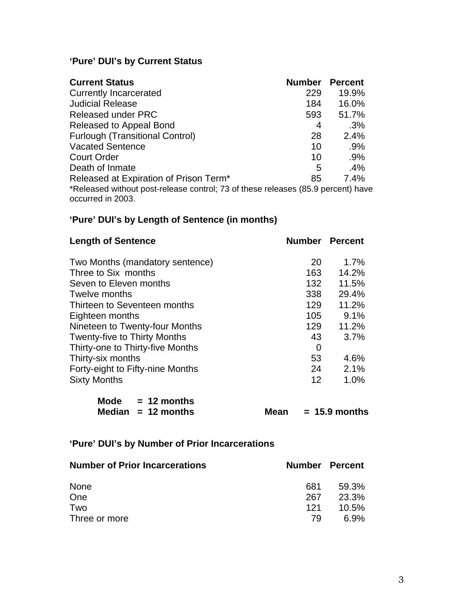# **'Pure' DUI's by Current Status**

| <b>Current Status</b>                                                                                 | <b>Number</b> | <b>Percent</b> |
|-------------------------------------------------------------------------------------------------------|---------------|----------------|
| <b>Currently Incarcerated</b>                                                                         | 229           | 19.9%          |
| <b>Judicial Release</b>                                                                               | 184           | 16.0%          |
| <b>Released under PRC</b>                                                                             | 593           | 51.7%          |
| Released to Appeal Bond                                                                               | 4             | $.3\%$         |
| <b>Furlough (Transitional Control)</b>                                                                | 28            | 2.4%           |
| <b>Vacated Sentence</b>                                                                               | 10            | .9%            |
| <b>Court Order</b>                                                                                    | 10            | $.9\%$         |
| Death of Inmate                                                                                       | 5             | .4%            |
| Released at Expiration of Prison Term*                                                                | 85            | 7.4%           |
| *Released without post-release control; 73 of these releases (85.9 percent) have<br>occurred in 2003. |               |                |

# **'Pure' DUI's by Length of Sentence (in months)**

| <b>Length of Sentence</b>           |                | <b>Number Percent</b> |
|-------------------------------------|----------------|-----------------------|
| Two Months (mandatory sentence)     | 20             | 1.7%                  |
| Three to Six months                 | 163            | 14.2%                 |
| Seven to Eleven months              | 132            | 11.5%                 |
| Twelve months                       | 338            | 29.4%                 |
| Thirteen to Seventeen months        | 129            | 11.2%                 |
| Eighteen months                     | 105            | 9.1%                  |
| Nineteen to Twenty-four Months      | 129            | 11.2%                 |
| <b>Twenty-five to Thirty Months</b> | 43             | 3.7%                  |
| Thirty-one to Thirty-five Months    | $\overline{0}$ |                       |
| Thirty-six months                   | 53             | 4.6%                  |
| Forty-eight to Fifty-nine Months    | 24             | 2.1%                  |
| <b>Sixty Months</b>                 | 12             | 1.0%                  |

| Mode $= 12$ months   |      |                 |
|----------------------|------|-----------------|
| Median $= 12$ months | Mean | $= 15.9$ months |

### **'Pure' DUI's by Number of Prior Incarcerations**

| <b>Number of Prior Incarcerations</b> |     | Number Percent |
|---------------------------------------|-----|----------------|
| None                                  | 681 | 59.3%          |
| One                                   | 267 | 23.3%          |
| Two                                   | 121 | 10.5%          |
| Three or more                         | 79  | 6.9%           |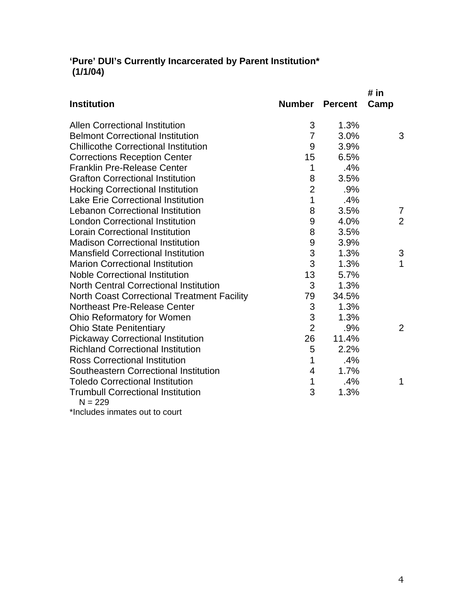### **'Pure' DUI's Currently Incarcerated by Parent Institution\* (1/1/04)**

|                                                         |                |                | # in           |
|---------------------------------------------------------|----------------|----------------|----------------|
| <b>Institution</b>                                      | Number         | <b>Percent</b> | Camp           |
| <b>Allen Correctional Institution</b>                   | 3              | 1.3%           |                |
| <b>Belmont Correctional Institution</b>                 | $\overline{7}$ | 3.0%           | 3              |
| <b>Chillicothe Correctional Institution</b>             | 9              | 3.9%           |                |
| <b>Corrections Reception Center</b>                     | 15             | 6.5%           |                |
| <b>Franklin Pre-Release Center</b>                      | 1              | .4%            |                |
| <b>Grafton Correctional Institution</b>                 | 8              | 3.5%           |                |
| <b>Hocking Correctional Institution</b>                 | $\overline{2}$ | .9%            |                |
| <b>Lake Erie Correctional Institution</b>               | $\mathbf 1$    | .4%            |                |
| <b>Lebanon Correctional Institution</b>                 | 8              | 3.5%           | 7              |
| <b>London Correctional Institution</b>                  | 9              | 4.0%           | $\overline{2}$ |
| <b>Lorain Correctional Institution</b>                  | 8              | 3.5%           |                |
| <b>Madison Correctional Institution</b>                 | 9              | 3.9%           |                |
| <b>Mansfield Correctional Institution</b>               | 3              | 1.3%           | 3              |
| <b>Marion Correctional Institution</b>                  | 3              | 1.3%           | 1              |
| <b>Noble Correctional Institution</b>                   | 13             | 5.7%           |                |
| <b>North Central Correctional Institution</b>           | 3              | 1.3%           |                |
| <b>North Coast Correctional Treatment Facility</b>      | 79             | 34.5%          |                |
| <b>Northeast Pre-Release Center</b>                     | 3              | 1.3%           |                |
| Ohio Reformatory for Women                              | 3              | 1.3%           |                |
| <b>Ohio State Penitentiary</b>                          | $\overline{2}$ | .9%            | 2              |
| <b>Pickaway Correctional Institution</b>                | 26             | 11.4%          |                |
| <b>Richland Correctional Institution</b>                | 5              | 2.2%           |                |
| <b>Ross Correctional Institution</b>                    | 1              | .4%            |                |
| Southeastern Correctional Institution                   | 4              | 1.7%           |                |
| <b>Toledo Correctional Institution</b>                  | $\mathbf{1}$   | .4%            | 1              |
| <b>Trumbull Correctional Institution</b><br>$N = 229$   | 3              | 1.3%           |                |
| وتعدل بمناهل والمتمالاة<br>المستنقر والمتلقات والمستقرض |                |                |                |

\*Includes inmates out to court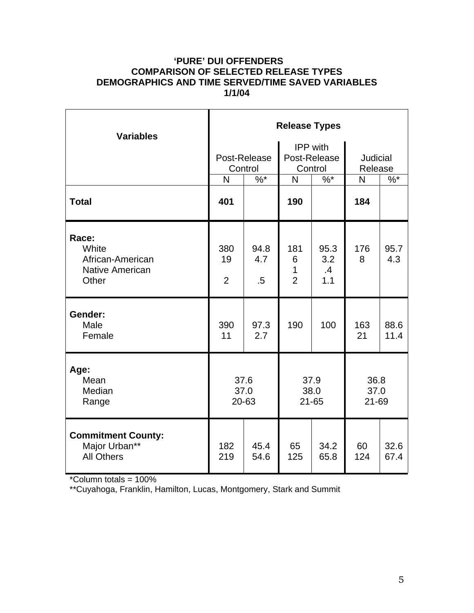### **'PURE' DUI OFFENDERS COMPARISON OF SELECTED RELEASE TYPES DEMOGRAPHICS AND TIME SERVED/TIME SAVED VARIABLES 1/1/04**

| <b>Variables</b>                                                      | <b>Release Types</b>        |                         |                                 |                                            |                            |              |  |  |
|-----------------------------------------------------------------------|-----------------------------|-------------------------|---------------------------------|--------------------------------------------|----------------------------|--------------|--|--|
|                                                                       |                             | Post-Release<br>Control |                                 | <b>IPP</b> with<br>Post-Release<br>Control | <b>Judicial</b><br>Release |              |  |  |
| <b>Total</b>                                                          | N<br>401                    | $\frac{9}{6}$           | N<br>190                        | $\%$ *                                     | $\mathsf{N}$<br>184        | $\%$ *       |  |  |
|                                                                       |                             |                         |                                 |                                            |                            |              |  |  |
| Race:<br>White<br>African-American<br><b>Native American</b><br>Other | 380<br>19<br>$\overline{2}$ | 94.8<br>4.7<br>$.5\,$   | 181<br>6<br>1<br>$\overline{2}$ | 95.3<br>3.2<br>$\cdot$<br>1.1              | 176<br>8                   | 95.7<br>4.3  |  |  |
| Gender:<br>Male<br>Female                                             | 390<br>11                   | 97.3<br>2.7             | 190                             | 100                                        | 163<br>21                  | 88.6<br>11.4 |  |  |
| Age:<br>Mean<br>Median<br>Range                                       | 37.6<br>37.0<br>20-63       |                         | 37.9<br>38.0<br>$21 - 65$       |                                            | 36.8<br>37.0<br>21-69      |              |  |  |
| <b>Commitment County:</b><br>Major Urban**<br><b>All Others</b>       | 182<br>219                  | 45.4<br>54.6            | 65<br>125                       | 34.2<br>65.8                               | 60<br>124                  | 32.6<br>67.4 |  |  |

\*Column totals = 100%

\*\*Cuyahoga, Franklin, Hamilton, Lucas, Montgomery, Stark and Summit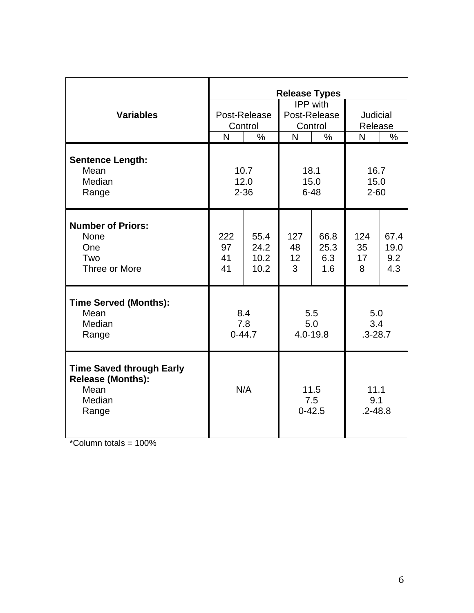|                                                                                        | <b>Release Types</b>         |                              |                                                     |                            |                                  |                            |
|----------------------------------------------------------------------------------------|------------------------------|------------------------------|-----------------------------------------------------|----------------------------|----------------------------------|----------------------------|
| <b>Variables</b>                                                                       | Post-Release<br>Control<br>N |                              | IPP with<br>Post-Release<br>Control<br>$\mathsf{N}$ |                            | Judicial<br>Release<br>N<br>$\%$ |                            |
|                                                                                        |                              | $\%$                         |                                                     | $\%$                       |                                  |                            |
| <b>Sentence Length:</b><br>Mean<br>Median<br>Range                                     | 10.7<br>12.0<br>$2 - 36$     |                              | 18.1<br>15.0<br>$6 - 48$                            |                            | 16.7<br>15.0<br>$2 - 60$         |                            |
| <b>Number of Priors:</b><br><b>None</b><br>One<br>Two<br>Three or More                 | 222<br>97<br>41<br>41        | 55.4<br>24.2<br>10.2<br>10.2 | 127<br>48<br>12 <sup>2</sup><br>3                   | 66.8<br>25.3<br>6.3<br>1.6 | 124<br>35<br>17<br>8             | 67.4<br>19.0<br>9.2<br>4.3 |
| <b>Time Served (Months):</b><br>Mean<br>Median<br>Range                                | 8.4<br>7.8<br>$0 - 44.7$     |                              | 5.5<br>5.0<br>4.0-19.8                              |                            | 5.0<br>3.4<br>$.3 - 28.7$        |                            |
| <b>Time Saved through Early</b><br><b>Release (Months):</b><br>Mean<br>Median<br>Range | N/A                          |                              | 11.5<br>7.5<br>$0 - 42.5$                           |                            | 11.1<br>9.1<br>$.2 - 48.8$       |                            |

 $*$ Column totals = 100%